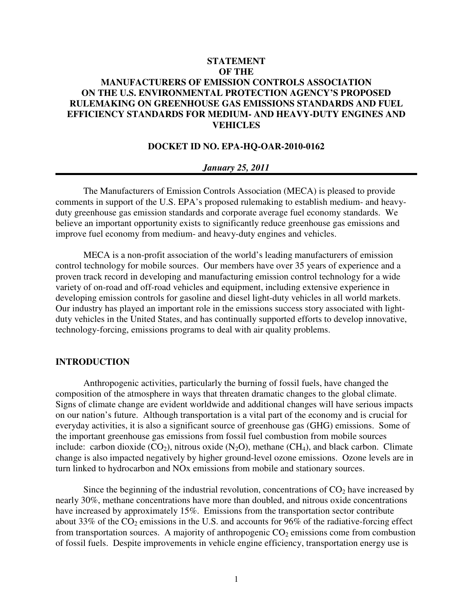# **STATEMENT OF THE MANUFACTURERS OF EMISSION CONTROLS ASSOCIATION ON THE U.S. ENVIRONMENTAL PROTECTION AGENCY'S PROPOSED RULEMAKING ON GREENHOUSE GAS EMISSIONS STANDARDS AND FUEL EFFICIENCY STANDARDS FOR MEDIUM- AND HEAVY-DUTY ENGINES AND VEHICLES**

### **DOCKET ID NO. EPA-HQ-OAR-2010-0162**

#### *January 25, 2011*

The Manufacturers of Emission Controls Association (MECA) is pleased to provide comments in support of the U.S. EPA's proposed rulemaking to establish medium- and heavyduty greenhouse gas emission standards and corporate average fuel economy standards. We believe an important opportunity exists to significantly reduce greenhouse gas emissions and improve fuel economy from medium- and heavy-duty engines and vehicles.

MECA is a non-profit association of the world's leading manufacturers of emission control technology for mobile sources. Our members have over 35 years of experience and a proven track record in developing and manufacturing emission control technology for a wide variety of on-road and off-road vehicles and equipment, including extensive experience in developing emission controls for gasoline and diesel light-duty vehicles in all world markets. Our industry has played an important role in the emissions success story associated with lightduty vehicles in the United States, and has continually supported efforts to develop innovative, technology-forcing, emissions programs to deal with air quality problems.

## **INTRODUCTION**

Anthropogenic activities, particularly the burning of fossil fuels, have changed the composition of the atmosphere in ways that threaten dramatic changes to the global climate. Signs of climate change are evident worldwide and additional changes will have serious impacts on our nation's future. Although transportation is a vital part of the economy and is crucial for everyday activities, it is also a significant source of greenhouse gas (GHG) emissions. Some of the important greenhouse gas emissions from fossil fuel combustion from mobile sources include: carbon dioxide  $(CO_2)$ , nitrous oxide  $(N_2O)$ , methane  $(CH_4)$ , and black carbon. Climate change is also impacted negatively by higher ground-level ozone emissions. Ozone levels are in turn linked to hydrocarbon and NOx emissions from mobile and stationary sources.

Since the beginning of the industrial revolution, concentrations of  $CO<sub>2</sub>$  have increased by nearly 30%, methane concentrations have more than doubled, and nitrous oxide concentrations have increased by approximately 15%. Emissions from the transportation sector contribute about 33% of the  $CO_2$  emissions in the U.S. and accounts for 96% of the radiative-forcing effect from transportation sources. A majority of anthropogenic  $CO<sub>2</sub>$  emissions come from combustion of fossil fuels. Despite improvements in vehicle engine efficiency, transportation energy use is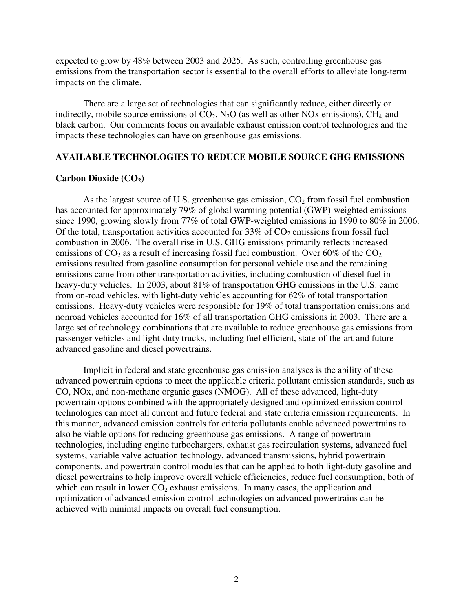expected to grow by 48% between 2003 and 2025. As such, controlling greenhouse gas emissions from the transportation sector is essential to the overall efforts to alleviate long-term impacts on the climate.

 There are a large set of technologies that can significantly reduce, either directly or indirectly, mobile source emissions of  $CO<sub>2</sub>$ , N<sub>2</sub>O (as well as other NO<sub>x</sub> emissions), CH<sub>4</sub> and black carbon. Our comments focus on available exhaust emission control technologies and the impacts these technologies can have on greenhouse gas emissions.

#### **AVAILABLE TECHNOLOGIES TO REDUCE MOBILE SOURCE GHG EMISSIONS**

#### **Carbon Dioxide (CO2)**

As the largest source of U.S. greenhouse gas emission,  $CO<sub>2</sub>$  from fossil fuel combustion has accounted for approximately 79% of global warming potential (GWP)-weighted emissions since 1990, growing slowly from 77% of total GWP-weighted emissions in 1990 to 80% in 2006. Of the total, transportation activities accounted for  $33\%$  of  $CO<sub>2</sub>$  emissions from fossil fuel combustion in 2006. The overall rise in U.S. GHG emissions primarily reflects increased emissions of  $CO_2$  as a result of increasing fossil fuel combustion. Over 60% of the  $CO_2$ emissions resulted from gasoline consumption for personal vehicle use and the remaining emissions came from other transportation activities, including combustion of diesel fuel in heavy-duty vehicles. In 2003, about 81% of transportation GHG emissions in the U.S. came from on-road vehicles, with light-duty vehicles accounting for 62% of total transportation emissions. Heavy-duty vehicles were responsible for 19% of total transportation emissions and nonroad vehicles accounted for 16% of all transportation GHG emissions in 2003. There are a large set of technology combinations that are available to reduce greenhouse gas emissions from passenger vehicles and light-duty trucks, including fuel efficient, state-of-the-art and future advanced gasoline and diesel powertrains.

Implicit in federal and state greenhouse gas emission analyses is the ability of these advanced powertrain options to meet the applicable criteria pollutant emission standards, such as CO, NOx, and non-methane organic gases (NMOG). All of these advanced, light-duty powertrain options combined with the appropriately designed and optimized emission control technologies can meet all current and future federal and state criteria emission requirements. In this manner, advanced emission controls for criteria pollutants enable advanced powertrains to also be viable options for reducing greenhouse gas emissions. A range of powertrain technologies, including engine turbochargers, exhaust gas recirculation systems, advanced fuel systems, variable valve actuation technology, advanced transmissions, hybrid powertrain components, and powertrain control modules that can be applied to both light-duty gasoline and diesel powertrains to help improve overall vehicle efficiencies, reduce fuel consumption, both of which can result in lower  $CO<sub>2</sub>$  exhaust emissions. In many cases, the application and optimization of advanced emission control technologies on advanced powertrains can be achieved with minimal impacts on overall fuel consumption.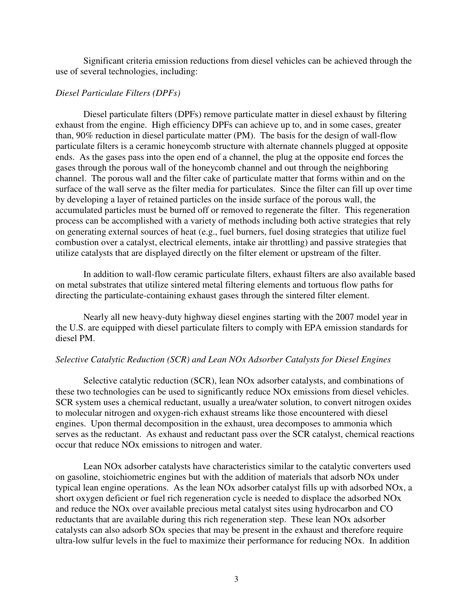Significant criteria emission reductions from diesel vehicles can be achieved through the use of several technologies, including:

#### *Diesel Particulate Filters (DPFs)*

Diesel particulate filters (DPFs) remove particulate matter in diesel exhaust by filtering exhaust from the engine. High efficiency DPFs can achieve up to, and in some cases, greater than, 90% reduction in diesel particulate matter (PM). The basis for the design of wall-flow particulate filters is a ceramic honeycomb structure with alternate channels plugged at opposite ends. As the gases pass into the open end of a channel, the plug at the opposite end forces the gases through the porous wall of the honeycomb channel and out through the neighboring channel. The porous wall and the filter cake of particulate matter that forms within and on the surface of the wall serve as the filter media for particulates. Since the filter can fill up over time by developing a layer of retained particles on the inside surface of the porous wall, the accumulated particles must be burned off or removed to regenerate the filter. This regeneration process can be accomplished with a variety of methods including both active strategies that rely on generating external sources of heat (e.g., fuel burners, fuel dosing strategies that utilize fuel combustion over a catalyst, electrical elements, intake air throttling) and passive strategies that utilize catalysts that are displayed directly on the filter element or upstream of the filter.

In addition to wall-flow ceramic particulate filters, exhaust filters are also available based on metal substrates that utilize sintered metal filtering elements and tortuous flow paths for directing the particulate-containing exhaust gases through the sintered filter element.

Nearly all new heavy-duty highway diesel engines starting with the 2007 model year in the U.S. are equipped with diesel particulate filters to comply with EPA emission standards for diesel PM.

#### *Selective Catalytic Reduction (SCR) and Lean NOx Adsorber Catalysts for Diesel Engines*

Selective catalytic reduction (SCR), lean NOx adsorber catalysts, and combinations of these two technologies can be used to significantly reduce NOx emissions from diesel vehicles. SCR system uses a chemical reductant, usually a urea/water solution, to convert nitrogen oxides to molecular nitrogen and oxygen-rich exhaust streams like those encountered with diesel engines. Upon thermal decomposition in the exhaust, urea decomposes to ammonia which serves as the reductant. As exhaust and reductant pass over the SCR catalyst, chemical reactions occur that reduce NOx emissions to nitrogen and water.

Lean NOx adsorber catalysts have characteristics similar to the catalytic converters used on gasoline, stoichiometric engines but with the addition of materials that adsorb NOx under typical lean engine operations. As the lean NOx adsorber catalyst fills up with adsorbed NOx, a short oxygen deficient or fuel rich regeneration cycle is needed to displace the adsorbed NOx and reduce the NOx over available precious metal catalyst sites using hydrocarbon and CO reductants that are available during this rich regeneration step. These lean NOx adsorber catalysts can also adsorb SOx species that may be present in the exhaust and therefore require ultra-low sulfur levels in the fuel to maximize their performance for reducing NOx. In addition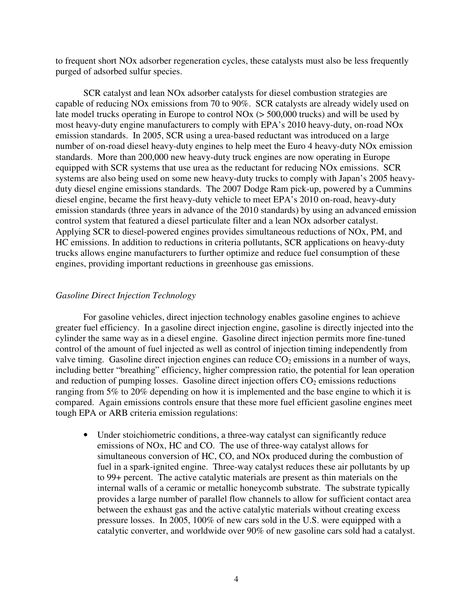to frequent short NOx adsorber regeneration cycles, these catalysts must also be less frequently purged of adsorbed sulfur species.

SCR catalyst and lean NOx adsorber catalysts for diesel combustion strategies are capable of reducing NOx emissions from 70 to 90%. SCR catalysts are already widely used on late model trucks operating in Europe to control NOx (> 500,000 trucks) and will be used by most heavy-duty engine manufacturers to comply with EPA's 2010 heavy-duty, on-road NOx emission standards. In 2005, SCR using a urea-based reductant was introduced on a large number of on-road diesel heavy-duty engines to help meet the Euro 4 heavy-duty NOx emission standards. More than 200,000 new heavy-duty truck engines are now operating in Europe equipped with SCR systems that use urea as the reductant for reducing NOx emissions. SCR systems are also being used on some new heavy-duty trucks to comply with Japan's 2005 heavyduty diesel engine emissions standards. The 2007 Dodge Ram pick-up, powered by a Cummins diesel engine, became the first heavy-duty vehicle to meet EPA's 2010 on-road, heavy-duty emission standards (three years in advance of the 2010 standards) by using an advanced emission control system that featured a diesel particulate filter and a lean NOx adsorber catalyst. Applying SCR to diesel-powered engines provides simultaneous reductions of NOx, PM, and HC emissions. In addition to reductions in criteria pollutants, SCR applications on heavy-duty trucks allows engine manufacturers to further optimize and reduce fuel consumption of these engines, providing important reductions in greenhouse gas emissions.

# *Gasoline Direct Injection Technology*

For gasoline vehicles, direct injection technology enables gasoline engines to achieve greater fuel efficiency. In a gasoline direct injection engine, gasoline is directly injected into the cylinder the same way as in a diesel engine. Gasoline direct injection permits more fine-tuned control of the amount of fuel injected as well as control of injection timing independently from valve timing. Gasoline direct injection engines can reduce  $CO<sub>2</sub>$  emissions in a number of ways, including better "breathing" efficiency, higher compression ratio, the potential for lean operation and reduction of pumping losses. Gasoline direct injection offers  $CO<sub>2</sub>$  emissions reductions ranging from 5% to 20% depending on how it is implemented and the base engine to which it is compared. Again emissions controls ensure that these more fuel efficient gasoline engines meet tough EPA or ARB criteria emission regulations:

• Under stoichiometric conditions, a three-way catalyst can significantly reduce emissions of NOx, HC and CO. The use of three-way catalyst allows for simultaneous conversion of HC, CO, and NOx produced during the combustion of fuel in a spark-ignited engine. Three-way catalyst reduces these air pollutants by up to 99+ percent. The active catalytic materials are present as thin materials on the internal walls of a ceramic or metallic honeycomb substrate. The substrate typically provides a large number of parallel flow channels to allow for sufficient contact area between the exhaust gas and the active catalytic materials without creating excess pressure losses. In 2005, 100% of new cars sold in the U.S. were equipped with a catalytic converter, and worldwide over 90% of new gasoline cars sold had a catalyst.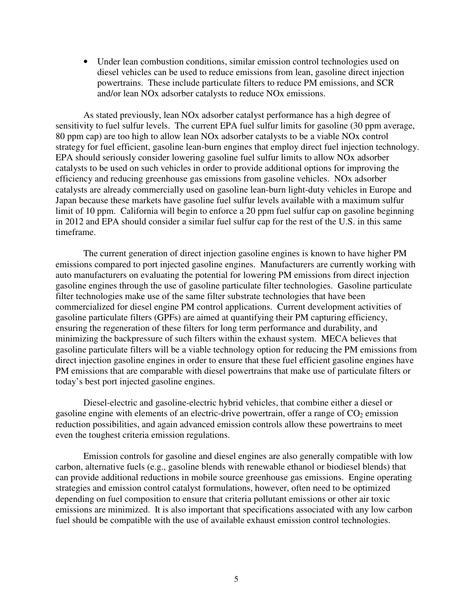• Under lean combustion conditions, similar emission control technologies used on diesel vehicles can be used to reduce emissions from lean, gasoline direct injection powertrains. These include particulate filters to reduce PM emissions, and SCR and/or lean NOx adsorber catalysts to reduce NOx emissions.

 As stated previously, lean NOx adsorber catalyst performance has a high degree of sensitivity to fuel sulfur levels. The current EPA fuel sulfur limits for gasoline (30 ppm average, 80 ppm cap) are too high to allow lean NOx adsorber catalysts to be a viable NOx control strategy for fuel efficient, gasoline lean-burn engines that employ direct fuel injection technology. EPA should seriously consider lowering gasoline fuel sulfur limits to allow NOx adsorber catalysts to be used on such vehicles in order to provide additional options for improving the efficiency and reducing greenhouse gas emissions from gasoline vehicles. NOx adsorber catalysts are already commercially used on gasoline lean-burn light-duty vehicles in Europe and Japan because these markets have gasoline fuel sulfur levels available with a maximum sulfur limit of 10 ppm. California will begin to enforce a 20 ppm fuel sulfur cap on gasoline beginning in 2012 and EPA should consider a similar fuel sulfur cap for the rest of the U.S. in this same timeframe.

The current generation of direct injection gasoline engines is known to have higher PM emissions compared to port injected gasoline engines. Manufacturers are currently working with auto manufacturers on evaluating the potential for lowering PM emissions from direct injection gasoline engines through the use of gasoline particulate filter technologies. Gasoline particulate filter technologies make use of the same filter substrate technologies that have been commercialized for diesel engine PM control applications. Current development activities of gasoline particulate filters (GPFs) are aimed at quantifying their PM capturing efficiency, ensuring the regeneration of these filters for long term performance and durability, and minimizing the backpressure of such filters within the exhaust system. MECA believes that gasoline particulate filters will be a viable technology option for reducing the PM emissions from direct injection gasoline engines in order to ensure that these fuel efficient gasoline engines have PM emissions that are comparable with diesel powertrains that make use of particulate filters or today's best port injected gasoline engines.

Diesel-electric and gasoline-electric hybrid vehicles, that combine either a diesel or gasoline engine with elements of an electric-drive powertrain, offer a range of  $CO<sub>2</sub>$  emission reduction possibilities, and again advanced emission controls allow these powertrains to meet even the toughest criteria emission regulations.

Emission controls for gasoline and diesel engines are also generally compatible with low carbon, alternative fuels (e.g., gasoline blends with renewable ethanol or biodiesel blends) that can provide additional reductions in mobile source greenhouse gas emissions. Engine operating strategies and emission control catalyst formulations, however, often need to be optimized depending on fuel composition to ensure that criteria pollutant emissions or other air toxic emissions are minimized. It is also important that specifications associated with any low carbon fuel should be compatible with the use of available exhaust emission control technologies.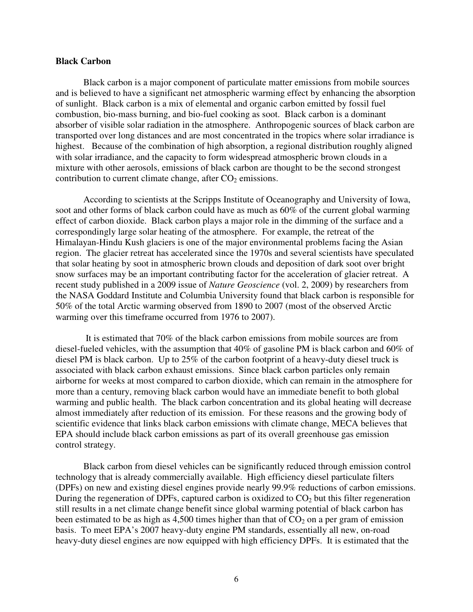#### **Black Carbon**

Black carbon is a major component of particulate matter emissions from mobile sources and is believed to have a significant net atmospheric warming effect by enhancing the absorption of sunlight. Black carbon is a mix of elemental and organic carbon emitted by fossil fuel combustion, bio-mass burning, and bio-fuel cooking as soot. Black carbon is a dominant absorber of visible solar radiation in the atmosphere. Anthropogenic sources of black carbon are transported over long distances and are most concentrated in the tropics where solar irradiance is highest. Because of the combination of high absorption, a regional distribution roughly aligned with solar irradiance, and the capacity to form widespread atmospheric brown clouds in a mixture with other aerosols, emissions of black carbon are thought to be the second strongest contribution to current climate change, after  $CO<sub>2</sub>$  emissions.

According to scientists at the Scripps Institute of Oceanography and University of Iowa, soot and other forms of black carbon could have as much as 60% of the current global warming effect of carbon dioxide. Black carbon plays a major role in the dimming of the surface and a correspondingly large solar heating of the atmosphere. For example, the retreat of the Himalayan-Hindu Kush glaciers is one of the major environmental problems facing the Asian region. The glacier retreat has accelerated since the 1970s and several scientists have speculated that solar heating by soot in atmospheric brown clouds and deposition of dark soot over bright snow surfaces may be an important contributing factor for the acceleration of glacier retreat. A recent study published in a 2009 issue of *Nature Geoscience* (vol. 2, 2009) by researchers from the NASA Goddard Institute and Columbia University found that black carbon is responsible for 50% of the total Arctic warming observed from 1890 to 2007 (most of the observed Arctic warming over this timeframe occurred from 1976 to 2007).

 It is estimated that 70% of the black carbon emissions from mobile sources are from diesel-fueled vehicles, with the assumption that 40% of gasoline PM is black carbon and 60% of diesel PM is black carbon. Up to 25% of the carbon footprint of a heavy-duty diesel truck is associated with black carbon exhaust emissions. Since black carbon particles only remain airborne for weeks at most compared to carbon dioxide, which can remain in the atmosphere for more than a century, removing black carbon would have an immediate benefit to both global warming and public health. The black carbon concentration and its global heating will decrease almost immediately after reduction of its emission. For these reasons and the growing body of scientific evidence that links black carbon emissions with climate change, MECA believes that EPA should include black carbon emissions as part of its overall greenhouse gas emission control strategy.

 Black carbon from diesel vehicles can be significantly reduced through emission control technology that is already commercially available. High efficiency diesel particulate filters (DPFs) on new and existing diesel engines provide nearly 99.9% reductions of carbon emissions. During the regeneration of DPFs, captured carbon is oxidized to  $CO<sub>2</sub>$  but this filter regeneration still results in a net climate change benefit since global warming potential of black carbon has been estimated to be as high as 4,500 times higher than that of  $CO<sub>2</sub>$  on a per gram of emission basis. To meet EPA's 2007 heavy-duty engine PM standards, essentially all new, on-road heavy-duty diesel engines are now equipped with high efficiency DPFs. It is estimated that the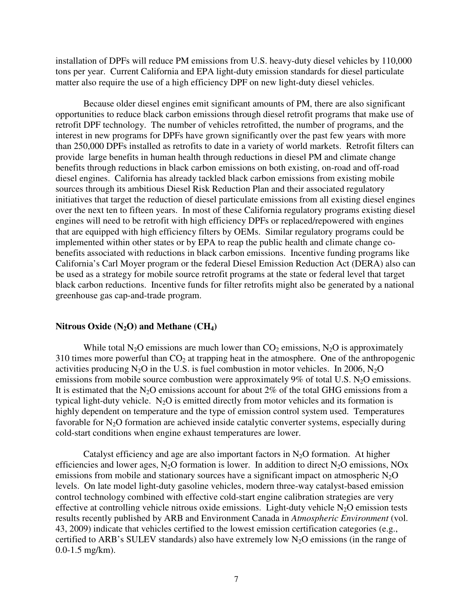installation of DPFs will reduce PM emissions from U.S. heavy-duty diesel vehicles by 110,000 tons per year. Current California and EPA light-duty emission standards for diesel particulate matter also require the use of a high efficiency DPF on new light-duty diesel vehicles.

Because older diesel engines emit significant amounts of PM, there are also significant opportunities to reduce black carbon emissions through diesel retrofit programs that make use of retrofit DPF technology. The number of vehicles retrofitted, the number of programs, and the interest in new programs for DPFs have grown significantly over the past few years with more than 250,000 DPFs installed as retrofits to date in a variety of world markets. Retrofit filters can provide large benefits in human health through reductions in diesel PM and climate change benefits through reductions in black carbon emissions on both existing, on-road and off-road diesel engines. California has already tackled black carbon emissions from existing mobile sources through its ambitious Diesel Risk Reduction Plan and their associated regulatory initiatives that target the reduction of diesel particulate emissions from all existing diesel engines over the next ten to fifteen years. In most of these California regulatory programs existing diesel engines will need to be retrofit with high efficiency DPFs or replaced/repowered with engines that are equipped with high efficiency filters by OEMs. Similar regulatory programs could be implemented within other states or by EPA to reap the public health and climate change cobenefits associated with reductions in black carbon emissions. Incentive funding programs like California's Carl Moyer program or the federal Diesel Emission Reduction Act (DERA) also can be used as a strategy for mobile source retrofit programs at the state or federal level that target black carbon reductions. Incentive funds for filter retrofits might also be generated by a national greenhouse gas cap-and-trade program.

#### **Nitrous Oxide (N2O) and Methane (CH4)**

While total N<sub>2</sub>O emissions are much lower than  $CO_2$  emissions, N<sub>2</sub>O is approximately 310 times more powerful than  $CO<sub>2</sub>$  at trapping heat in the atmosphere. One of the anthropogenic activities producing  $N_2O$  in the U.S. is fuel combustion in motor vehicles. In 2006,  $N_2O$ emissions from mobile source combustion were approximately 9% of total U.S.  $N_2O$  emissions. It is estimated that the N<sub>2</sub>O emissions account for about 2% of the total GHG emissions from a typical light-duty vehicle.  $N_2O$  is emitted directly from motor vehicles and its formation is highly dependent on temperature and the type of emission control system used. Temperatures favorable for  $N_2O$  formation are achieved inside catalytic converter systems, especially during cold-start conditions when engine exhaust temperatures are lower.

Catalyst efficiency and age are also important factors in  $N<sub>2</sub>O$  formation. At higher efficiencies and lower ages,  $N_2O$  formation is lower. In addition to direct  $N_2O$  emissions, NOx emissions from mobile and stationary sources have a significant impact on atmospheric  $N_2O$ levels. On late model light-duty gasoline vehicles, modern three-way catalyst-based emission control technology combined with effective cold-start engine calibration strategies are very effective at controlling vehicle nitrous oxide emissions. Light-duty vehicle  $N_2O$  emission tests results recently published by ARB and Environment Canada in *Atmospheric Environment* (vol. 43, 2009) indicate that vehicles certified to the lowest emission certification categories (e.g., certified to ARB's SULEV standards) also have extremely low  $N_2O$  emissions (in the range of 0.0-1.5 mg/km).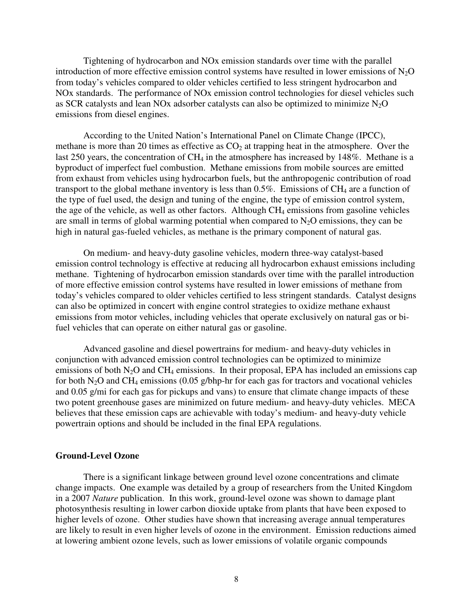Tightening of hydrocarbon and NOx emission standards over time with the parallel introduction of more effective emission control systems have resulted in lower emissions of  $N_2O$ from today's vehicles compared to older vehicles certified to less stringent hydrocarbon and NOx standards. The performance of NOx emission control technologies for diesel vehicles such as SCR catalysts and lean NOx adsorber catalysts can also be optimized to minimize  $N_2O$ emissions from diesel engines.

According to the United Nation's International Panel on Climate Change (IPCC), methane is more than 20 times as effective as  $CO<sub>2</sub>$  at trapping heat in the atmosphere. Over the last 250 years, the concentration of  $CH_4$  in the atmosphere has increased by 148%. Methane is a byproduct of imperfect fuel combustion. Methane emissions from mobile sources are emitted from exhaust from vehicles using hydrocarbon fuels, but the anthropogenic contribution of road transport to the global methane inventory is less than  $0.5\%$ . Emissions of CH<sub>4</sub> are a function of the type of fuel used, the design and tuning of the engine, the type of emission control system, the age of the vehicle, as well as other factors. Although  $CH_4$  emissions from gasoline vehicles are small in terms of global warming potential when compared to  $N_2O$  emissions, they can be high in natural gas-fueled vehicles, as methane is the primary component of natural gas.

On medium- and heavy-duty gasoline vehicles, modern three-way catalyst-based emission control technology is effective at reducing all hydrocarbon exhaust emissions including methane. Tightening of hydrocarbon emission standards over time with the parallel introduction of more effective emission control systems have resulted in lower emissions of methane from today's vehicles compared to older vehicles certified to less stringent standards. Catalyst designs can also be optimized in concert with engine control strategies to oxidize methane exhaust emissions from motor vehicles, including vehicles that operate exclusively on natural gas or bifuel vehicles that can operate on either natural gas or gasoline.

Advanced gasoline and diesel powertrains for medium- and heavy-duty vehicles in conjunction with advanced emission control technologies can be optimized to minimize emissions of both  $N_2O$  and CH<sub>4</sub> emissions. In their proposal, EPA has included an emissions cap for both N<sub>2</sub>O and CH<sub>4</sub> emissions (0.05 g/bhp-hr for each gas for tractors and vocational vehicles and 0.05 g/mi for each gas for pickups and vans) to ensure that climate change impacts of these two potent greenhouse gases are minimized on future medium- and heavy-duty vehicles. MECA believes that these emission caps are achievable with today's medium- and heavy-duty vehicle powertrain options and should be included in the final EPA regulations.

#### **Ground-Level Ozone**

 There is a significant linkage between ground level ozone concentrations and climate change impacts. One example was detailed by a group of researchers from the United Kingdom in a 2007 *Nature* publication. In this work, ground-level ozone was shown to damage plant photosynthesis resulting in lower carbon dioxide uptake from plants that have been exposed to higher levels of ozone. Other studies have shown that increasing average annual temperatures are likely to result in even higher levels of ozone in the environment. Emission reductions aimed at lowering ambient ozone levels, such as lower emissions of volatile organic compounds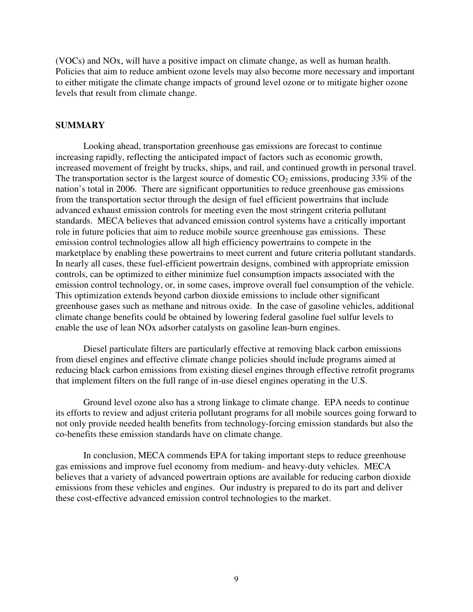(VOCs) and NOx, will have a positive impact on climate change, as well as human health. Policies that aim to reduce ambient ozone levels may also become more necessary and important to either mitigate the climate change impacts of ground level ozone or to mitigate higher ozone levels that result from climate change.

## **SUMMARY**

Looking ahead, transportation greenhouse gas emissions are forecast to continue increasing rapidly, reflecting the anticipated impact of factors such as economic growth, increased movement of freight by trucks, ships, and rail, and continued growth in personal travel. The transportation sector is the largest source of domestic  $CO_2$  emissions, producing 33% of the nation's total in 2006. There are significant opportunities to reduce greenhouse gas emissions from the transportation sector through the design of fuel efficient powertrains that include advanced exhaust emission controls for meeting even the most stringent criteria pollutant standards. MECA believes that advanced emission control systems have a critically important role in future policies that aim to reduce mobile source greenhouse gas emissions. These emission control technologies allow all high efficiency powertrains to compete in the marketplace by enabling these powertrains to meet current and future criteria pollutant standards. In nearly all cases, these fuel-efficient powertrain designs, combined with appropriate emission controls, can be optimized to either minimize fuel consumption impacts associated with the emission control technology, or, in some cases, improve overall fuel consumption of the vehicle. This optimization extends beyond carbon dioxide emissions to include other significant greenhouse gases such as methane and nitrous oxide. In the case of gasoline vehicles, additional climate change benefits could be obtained by lowering federal gasoline fuel sulfur levels to enable the use of lean NOx adsorber catalysts on gasoline lean-burn engines.

 Diesel particulate filters are particularly effective at removing black carbon emissions from diesel engines and effective climate change policies should include programs aimed at reducing black carbon emissions from existing diesel engines through effective retrofit programs that implement filters on the full range of in-use diesel engines operating in the U.S.

 Ground level ozone also has a strong linkage to climate change. EPA needs to continue its efforts to review and adjust criteria pollutant programs for all mobile sources going forward to not only provide needed health benefits from technology-forcing emission standards but also the co-benefits these emission standards have on climate change.

In conclusion, MECA commends EPA for taking important steps to reduce greenhouse gas emissions and improve fuel economy from medium- and heavy-duty vehicles. MECA believes that a variety of advanced powertrain options are available for reducing carbon dioxide emissions from these vehicles and engines. Our industry is prepared to do its part and deliver these cost-effective advanced emission control technologies to the market.